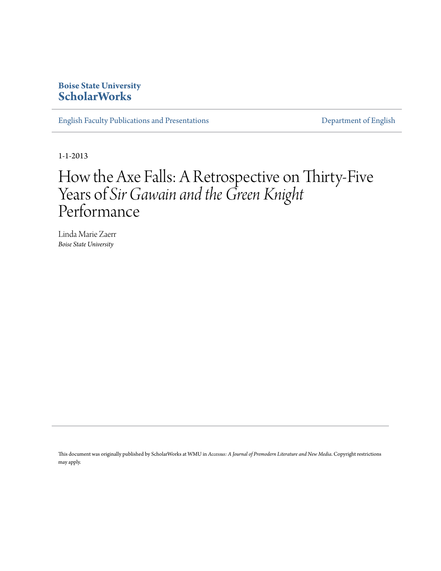# **Boise State University [ScholarWorks](https://scholarworks.boisestate.edu)**

[English Faculty Publications and Presentations](https://scholarworks.boisestate.edu/english_facpubs) **[Department of English](https://scholarworks.boisestate.edu/english)** 

1-1-2013

# How the Axe Falls: A Retrospective on Thirty-Five Years of *Sir Gawain and the Green Knight* Performance

Linda Marie Zaerr *Boise State University*

This document was originally published by ScholarWorks at WMU in *Accessus: A Journal of Premodern Literature and New Media*. Copyright restrictions may apply.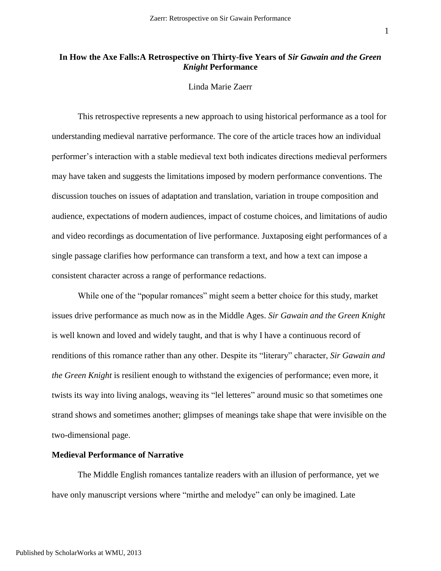### **In How the Axe Falls:A Retrospective on Thirty-five Years of** *Sir Gawain and the Green Knight* **Performance**

### Linda Marie Zaerr

This retrospective represents a new approach to using historical performance as a tool for understanding medieval narrative performance. The core of the article traces how an individual performer's interaction with a stable medieval text both indicates directions medieval performers may have taken and suggests the limitations imposed by modern performance conventions. The discussion touches on issues of adaptation and translation, variation in troupe composition and audience, expectations of modern audiences, impact of costume choices, and limitations of audio and video recordings as documentation of live performance. Juxtaposing eight performances of a single passage clarifies how performance can transform a text, and how a text can impose a consistent character across a range of performance redactions.

While one of the "popular romances" might seem a better choice for this study, market issues drive performance as much now as in the Middle Ages. *Sir Gawain and the Green Knight* is well known and loved and widely taught, and that is why I have a continuous record of renditions of this romance rather than any other. Despite its "literary" character, *Sir Gawain and the Green Knight* is resilient enough to withstand the exigencies of performance; even more, it twists its way into living analogs, weaving its "lel letteres" around music so that sometimes one strand shows and sometimes another; glimpses of meanings take shape that were invisible on the two-dimensional page.

#### **Medieval Performance of Narrative**

The Middle English romances tantalize readers with an illusion of performance, yet we have only manuscript versions where "mirthe and melodye" can only be imagined. Late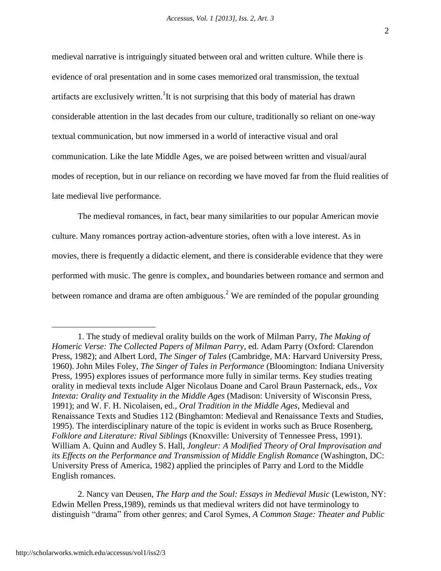medieval narrative is intriguingly situated between oral and written culture. While there is evidence of oral presentation and in some cases memorized oral transmission, the textual artifacts are exclusively written.<sup>1</sup>It is not surprising that this body of material has drawn considerable attention in the last decades from our culture, traditionally so reliant on one-way textual communication, but now immersed in a world of interactive visual and oral communication. Like the late Middle Ages, we are poised between written and visual/aural modes of reception, but in our reliance on recording we have moved far from the fluid realities of late medieval live performance.

The medieval romances, in fact, bear many similarities to our popular American movie culture. Many romances portray action-adventure stories, often with a love interest. As in movies, there is frequently a didactic element, and there is considerable evidence that they were performed with music. The genre is complex, and boundaries between romance and sermon and between romance and drama are often ambiguous.<sup>2</sup> We are reminded of the popular grounding

2. Nancy van Deusen, *The Harp and the Soul: Essays in Medieval Music* (Lewiston, NY: Edwin Mellen Press,1989), reminds us that medieval writers did not have terminology to distinguish "drama" from other genres; and Carol Symes, *A Common Stage: Theater and Public* 

<sup>1.</sup> The study of medieval orality builds on the work of Milman Parry, *The Making of Homeric Verse: The Collected Papers of Milman Parry*, ed. Adam Parry (Oxford: Clarendon Press, 1982); and Albert Lord, *The Singer of Tales* (Cambridge, MA: Harvard University Press, 1960). John Miles Foley, *The Singer of Tales in Performance* (Bloomington: Indiana University Press, 1995) explores issues of performance more fully in similar terms. Key studies treating orality in medieval texts include Alger Nicolaus Doane and Carol Braun Pasternack, eds., *Vox Intexta: Orality and Textuality in the Middle Ages* (Madison: University of Wisconsin Press, 1991); and W. F. H. Nicolaisen, ed., *Oral Tradition in the Middle Ages*, Medieval and Renaissance Texts and Studies 112 (Binghamton: Medieval and Renaissance Texts and Studies, 1995). The interdisciplinary nature of the topic is evident in works such as Bruce Rosenberg, *Folklore and Literature: Rival Siblings* (Knoxville: University of Tennessee Press, 1991). William A. Quinn and Audley S. Hall, *Jongleur: A Modified Theory of Oral Improvisation and its Effects on the Performance and Transmission of Middle English Romance* (Washington, DC: University Press of America, 1982) applied the principles of Parry and Lord to the Middle English romances.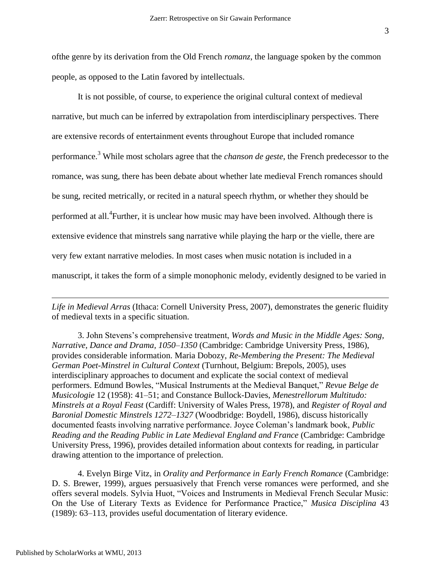ofthe genre by its derivation from the Old French *romanz*, the language spoken by the common people, as opposed to the Latin favored by intellectuals.

It is not possible, of course, to experience the original cultural context of medieval narrative, but much can be inferred by extrapolation from interdisciplinary perspectives. There are extensive records of entertainment events throughout Europe that included romance performance.<sup>3</sup> While most scholars agree that the *chanson de geste*, the French predecessor to the romance, was sung, there has been debate about whether late medieval French romances should be sung, recited metrically, or recited in a natural speech rhythm, or whether they should be performed at all.<sup>4</sup> Further, it is unclear how music may have been involved. Although there is extensive evidence that minstrels sang narrative while playing the harp or the vielle, there are very few extant narrative melodies. In most cases when music notation is included in a manuscript, it takes the form of a simple monophonic melody, evidently designed to be varied in

*Life in Medieval Arras* (Ithaca: Cornell University Press, 2007), demonstrates the generic fluidity of medieval texts in a specific situation.

3. John Stevens's comprehensive treatment, *Words and Music in the Middle Ages: Song, Narrative, Dance and Drama, 1050–1350* (Cambridge: Cambridge University Press, 1986), provides considerable information. Maria Dobozy, *Re-Membering the Present: The Medieval German Poet-Minstrel in Cultural Context* (Turnhout, Belgium: Brepols, 2005), uses interdisciplinary approaches to document and explicate the social context of medieval performers. Edmund Bowles, "Musical Instruments at the Medieval Banquet," *Revue Belge de Musicologie* 12 (1958): 41–51; and Constance Bullock-Davies, *Menestrellorum Multitudo: Minstrels at a Royal Feast* (Cardiff: University of Wales Press, 1978), and *Register of Royal and Baronial Domestic Minstrels 1272–1327* (Woodbridge: Boydell, 1986), discuss historically documented feasts involving narrative performance. Joyce Coleman's landmark book, *Public Reading and the Reading Public in Late Medieval England and France* (Cambridge: Cambridge University Press, 1996), provides detailed information about contexts for reading, in particular drawing attention to the importance of prelection.

4. Evelyn Birge Vitz, in *Orality and Performance in Early French Romance* (Cambridge: D. S. Brewer, 1999), argues persuasively that French verse romances were performed, and she offers several models. Sylvia Huot, "Voices and Instruments in Medieval French Secular Music: On the Use of Literary Texts as Evidence for Performance Practice," *Musica Disciplina* 43 (1989): 63–113, provides useful documentation of literary evidence.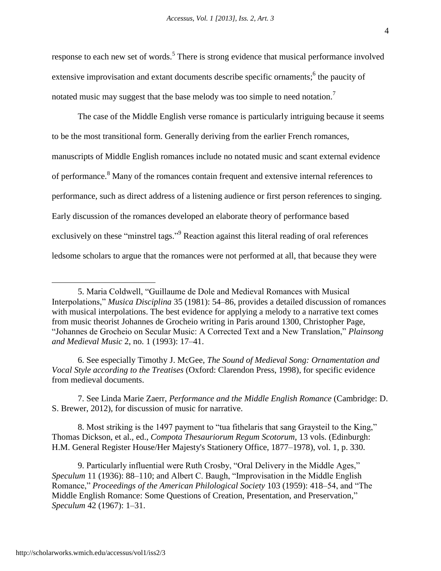response to each new set of words.<sup>5</sup> There is strong evidence that musical performance involved extensive improvisation and extant documents describe specific ornaments;<sup>6</sup> the paucity of notated music may suggest that the base melody was too simple to need notation.<sup>7</sup>

The case of the Middle English verse romance is particularly intriguing because it seems to be the most transitional form. Generally deriving from the earlier French romances, manuscripts of Middle English romances include no notated music and scant external evidence of performance.<sup>8</sup> Many of the romances contain frequent and extensive internal references to performance, such as direct address of a listening audience or first person references to singing. Early discussion of the romances developed an elaborate theory of performance based exclusively on these "minstrel tags."<sup>9</sup> Reaction against this literal reading of oral references ledsome scholars to argue that the romances were not performed at all, that because they were

6. See especially Timothy J. McGee, *The Sound of Medieval Song: Ornamentation and Vocal Style according to the Treatises* (Oxford: Clarendon Press, 1998), for specific evidence from medieval documents.

7. See Linda Marie Zaerr, *Performance and the Middle English Romance* (Cambridge: D. S. Brewer, 2012), for discussion of music for narrative.

8. Most striking is the 1497 payment to "tua fithelaris that sang Graysteil to the King," Thomas Dickson, et al., ed., *Compota Thesauriorum Regum Scotorum*, 13 vols. (Edinburgh: H.M. General Register House/Her Majesty's Stationery Office, 1877–1978), vol. 1, p. 330.

9. Particularly influential were Ruth Crosby, "Oral Delivery in the Middle Ages," *Speculum* 11 (1936): 88–110; and Albert C. Baugh, "Improvisation in the Middle English Romance," *Proceedings of the American Philological Society* 103 (1959): 418–54, and "The Middle English Romance: Some Questions of Creation, Presentation, and Preservation," *Speculum* 42 (1967): 1–31.

<sup>5.</sup> Maria Coldwell, "Guillaume de Dole and Medieval Romances with Musical Interpolations," *Musica Disciplina* 35 (1981): 54–86, provides a detailed discussion of romances with musical interpolations. The best evidence for applying a melody to a narrative text comes from music theorist Johannes de Grocheio writing in Paris around 1300, Christopher Page, "Johannes de Grocheio on Secular Music: A Corrected Text and a New Translation," *Plainsong and Medieval Music* 2, no. 1 (1993): 17–41.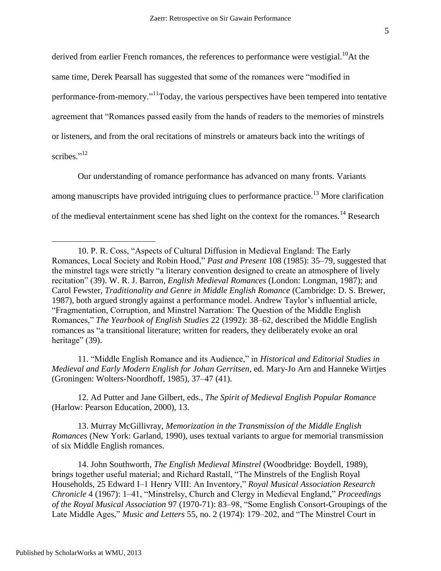derived from earlier French romances, the references to performance were vestigial.<sup>10</sup>At the same time, Derek Pearsall has suggested that some of the romances were "modified in performance-from-memory."<sup>11</sup>Today, the various perspectives have been tempered into tentative agreement that "Romances passed easily from the hands of readers to the memories of minstrels or listeners, and from the oral recitations of minstrels or amateurs back into the writings of scribes."<sup>12</sup>

Our understanding of romance performance has advanced on many fronts. Variants among manuscripts have provided intriguing clues to performance practice.<sup>13</sup> More clarification of the medieval entertainment scene has shed light on the context for the romances.<sup>14</sup> Research

11. "Middle English Romance and its Audience," in *Historical and Editorial Studies in Medieval and Early Modern English for Johan Gerritsen*, ed. Mary-Jo Arn and Hanneke Wirtjes (Groningen: Wolters-Noordhoff, 1985), 37–47 (41).

12. Ad Putter and Jane Gilbert, eds., *The Spirit of Medieval English Popular Romance* (Harlow: Pearson Education, 2000), 13.

13. Murray McGillivray, *Memorization in the Transmission of the Middle English Romances* (New York: Garland, 1990), uses textual variants to argue for memorial transmission of six Middle English romances.

14. John Southworth, *The English Medieval Minstrel* (Woodbridge: Boydell, 1989), brings together useful material; and Richard Rastall, "The Minstrels of the English Royal Households, 25 Edward I–1 Henry VIII: An Inventory," *Royal Musical Association Research Chronicle* 4 (1967): 1–41, "Minstrelsy, Church and Clergy in Medieval England," *Proceedings of the Royal Musical Association* 97 (1970-71): 83–98, "Some English Consort-Groupings of the Late Middle Ages," *Music and Letters* 55, no. 2 (1974): 179–202, and "The Minstrel Court in

<sup>10.</sup> P. R. Coss, "Aspects of Cultural Diffusion in Medieval England: The Early Romances, Local Society and Robin Hood," *Past and Present* 108 (1985): 35–79, suggested that the minstrel tags were strictly "a literary convention designed to create an atmosphere of lively recitation" (39). W. R. J. Barron, *English Medieval Romances* (London: Longman, 1987); and Carol Fewster, *Traditionality and Genre in Middle English Romance* (Cambridge: D. S. Brewer, 1987), both argued strongly against a performance model. Andrew Taylor's influential article, "Fragmentation, Corruption, and Minstrel Narration: The Question of the Middle English Romances," *The Yearbook of English Studies* 22 (1992): 38–62, described the Middle English romances as "a transitional literature; written for readers, they deliberately evoke an oral heritage" (39).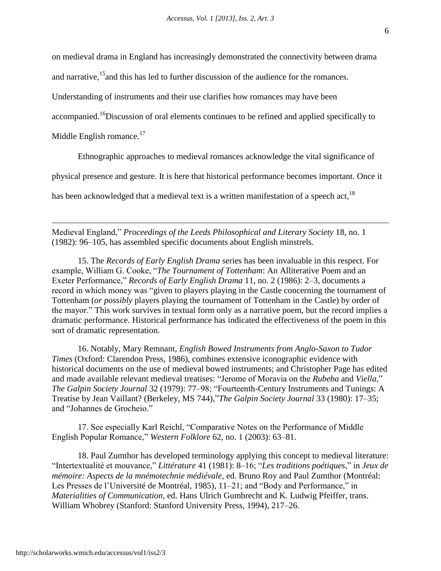on medieval drama in England has increasingly demonstrated the connectivity between drama

and narrative,<sup>15</sup> and this has led to further discussion of the audience for the romances.

Understanding of instruments and their use clarifies how romances may have been

accompanied.<sup>16</sup>Discussion of oral elements continues to be refined and applied specifically to

Middle English romance. $17$ 

 $\overline{a}$ 

Ethnographic approaches to medieval romances acknowledge the vital significance of

physical presence and gesture. It is here that historical performance becomes important. Once it

has been acknowledged that a medieval text is a written manifestation of a speech act, <sup>18</sup>

Medieval England," *Proceedings of the Leeds Philosophical and Literary Society* 18, no. 1 (1982): 96–105, has assembled specific documents about English minstrels.

15. The *Records of Early English Drama* series has been invaluable in this respect. For example, William G. Cooke, "*The Tournament of Tottenham*: An Alliterative Poem and an Exeter Performance," *Records of Early English Drama* 11, no. 2 (1986): 2–3, documents a record in which money was "given to players playing in the Castle concerning the tournament of Tottenham (*or possibly* players playing the tournament of Tottenham in the Castle) by order of the mayor." This work survives in textual form only as a narrative poem, but the record implies a dramatic performance. Historical performance has indicated the effectiveness of the poem in this sort of dramatic representation.

16. Notably, Mary Remnant, *English Bowed Instruments from Anglo-Saxon to Tudor Times* (Oxford: Clarendon Press, 1986), combines extensive iconographic evidence with historical documents on the use of medieval bowed instruments; and Christopher Page has edited and made available relevant medieval treatises: "Jerome of Moravia on the *Rubeba* and *Viella*," *The Galpin Society Journal* 32 (1979): 77–98; "Fourteenth-Century Instruments and Tunings: A Treatise by Jean Vaillant? (Berkeley, MS 744),"*The Galpin Society Journal* 33 (1980): 17–35; and "Johannes de Grocheio."

17. See especially Karl Reichl, "Comparative Notes on the Performance of Middle English Popular Romance," *Western Folklore* 62, no. 1 (2003): 63–81.

18. Paul Zumthor has developed terminology applying this concept to medieval literature: "Intertextualité et mouvance," *Littérature* 41 (1981): 8–16; "*Les traditions poétiques*," in *Jeux de mémoire: Aspects de la mnémotechnie médiévale*, ed. Bruno Roy and Paul Zumthor (Montréal: Les Presses de l'Université de Montréal, 1985), 11–21; and "Body and Performance," in *Materialities of Communication*, ed. Hans Ulrich Gumbrecht and K. Ludwig Pfeiffer, trans. William Whobrey (Stanford: Stanford University Press, 1994), 217–26.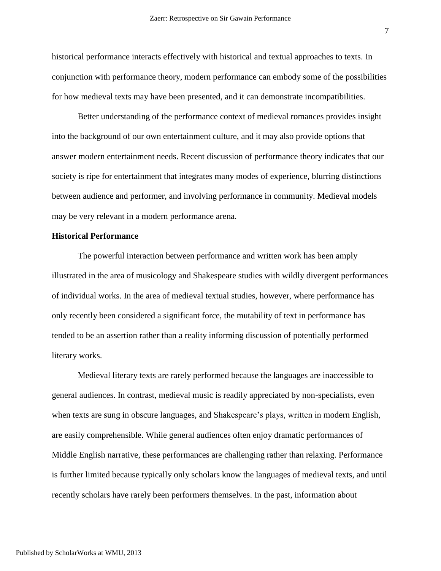historical performance interacts effectively with historical and textual approaches to texts. In conjunction with performance theory, modern performance can embody some of the possibilities for how medieval texts may have been presented, and it can demonstrate incompatibilities.

Better understanding of the performance context of medieval romances provides insight into the background of our own entertainment culture, and it may also provide options that answer modern entertainment needs. Recent discussion of performance theory indicates that our society is ripe for entertainment that integrates many modes of experience, blurring distinctions between audience and performer, and involving performance in community. Medieval models may be very relevant in a modern performance arena.

### **Historical Performance**

The powerful interaction between performance and written work has been amply illustrated in the area of musicology and Shakespeare studies with wildly divergent performances of individual works. In the area of medieval textual studies, however, where performance has only recently been considered a significant force, the mutability of text in performance has tended to be an assertion rather than a reality informing discussion of potentially performed literary works.

Medieval literary texts are rarely performed because the languages are inaccessible to general audiences. In contrast, medieval music is readily appreciated by non-specialists, even when texts are sung in obscure languages, and Shakespeare's plays, written in modern English, are easily comprehensible. While general audiences often enjoy dramatic performances of Middle English narrative, these performances are challenging rather than relaxing. Performance is further limited because typically only scholars know the languages of medieval texts, and until recently scholars have rarely been performers themselves. In the past, information about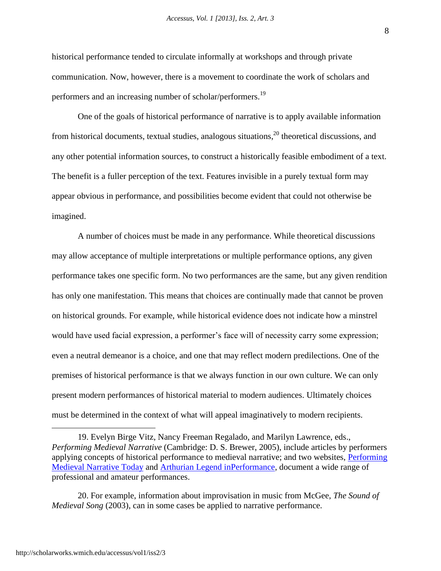historical performance tended to circulate informally at workshops and through private communication. Now, however, there is a movement to coordinate the work of scholars and performers and an increasing number of scholar/performers.<sup>19</sup>

One of the goals of historical performance of narrative is to apply available information from historical documents, textual studies, analogous situations,  $20$  theoretical discussions, and any other potential information sources, to construct a historically feasible embodiment of a text. The benefit is a fuller perception of the text. Features invisible in a purely textual form may appear obvious in performance, and possibilities become evident that could not otherwise be imagined.

A number of choices must be made in any performance. While theoretical discussions may allow acceptance of multiple interpretations or multiple performance options, any given performance takes one specific form. No two performances are the same, but any given rendition has only one manifestation. This means that choices are continually made that cannot be proven on historical grounds. For example, while historical evidence does not indicate how a minstrel would have used facial expression, a performer's face will of necessity carry some expression; even a neutral demeanor is a choice, and one that may reflect modern predilections. One of the premises of historical performance is that we always function in our own culture. We can only present modern performances of historical material to modern audiences. Ultimately choices must be determined in the context of what will appeal imaginatively to modern recipients.

8

<sup>19.</sup> Evelyn Birge Vitz, Nancy Freeman Regalado, and Marilyn Lawrence, eds., *Performing Medieval Narrative* (Cambridge: D. S. Brewer, 2005), include articles by performers applying concepts of historical performance to medieval narrative; and two websites, [Performing](http://mednar.org/)  [Medieval Narrative Today](http://mednar.org/) and [Arthurian Legend inPerformance,](http://vimeo.com/arthurperform) document a wide range of professional and amateur performances.

<sup>20.</sup> For example, information about improvisation in music from McGee, *The Sound of Medieval Song* (2003), can in some cases be applied to narrative performance.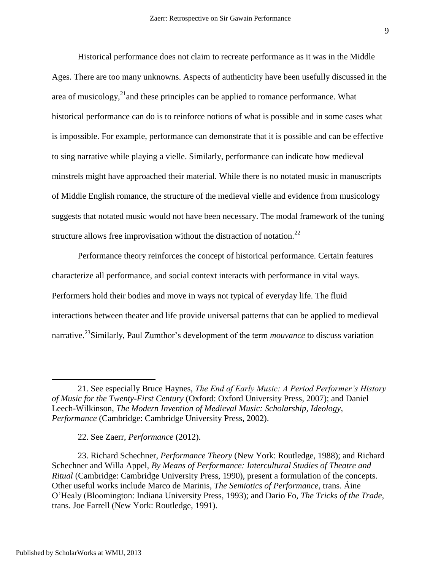Historical performance does not claim to recreate performance as it was in the Middle Ages. There are too many unknowns. Aspects of authenticity have been usefully discussed in the area of musicology, $^{21}$ and these principles can be applied to romance performance. What historical performance can do is to reinforce notions of what is possible and in some cases what is impossible. For example, performance can demonstrate that it is possible and can be effective to sing narrative while playing a vielle. Similarly, performance can indicate how medieval minstrels might have approached their material. While there is no notated music in manuscripts of Middle English romance, the structure of the medieval vielle and evidence from musicology suggests that notated music would not have been necessary. The modal framework of the tuning structure allows free improvisation without the distraction of notation.<sup>22</sup>

Performance theory reinforces the concept of historical performance. Certain features characterize all performance, and social context interacts with performance in vital ways. Performers hold their bodies and move in ways not typical of everyday life. The fluid interactions between theater and life provide universal patterns that can be applied to medieval narrative.<sup>23</sup>Similarly, Paul Zumthor's development of the term *mouvance* to discuss variation

<sup>21.</sup> See especially Bruce Haynes, *The End of Early Music: A Period Performer's History of Music for the Twenty-First Century* (Oxford: Oxford University Press, 2007); and Daniel Leech-Wilkinson, *The Modern Invention of Medieval Music: Scholarship, Ideology, Performance* (Cambridge: Cambridge University Press, 2002).

<sup>22.</sup> See Zaerr, *Performance* (2012).

<sup>23.</sup> Richard Schechner, *Performance Theory* (New York: Routledge, 1988); and Richard Schechner and Willa Appel, *By Means of Performance: Intercultural Studies of Theatre and Ritual* (Cambridge: Cambridge University Press, 1990), present a formulation of the concepts. Other useful works include Marco de Marinis, *The Semiotics of Performance*, trans. Áine O'Healy (Bloomington: Indiana University Press, 1993); and Dario Fo, *The Tricks of the Trade*, trans. Joe Farrell (New York: Routledge, 1991).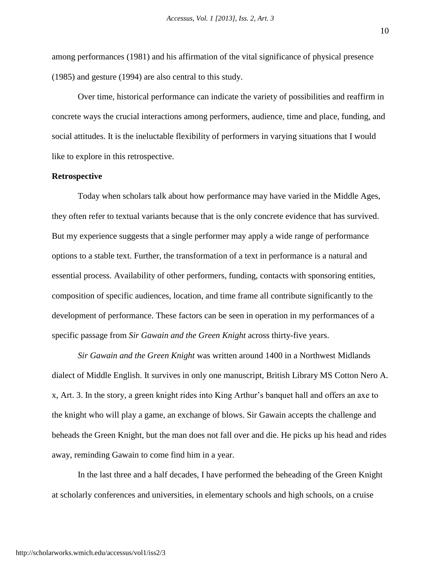among performances (1981) and his affirmation of the vital significance of physical presence (1985) and gesture (1994) are also central to this study.

Over time, historical performance can indicate the variety of possibilities and reaffirm in concrete ways the crucial interactions among performers, audience, time and place, funding, and social attitudes. It is the ineluctable flexibility of performers in varying situations that I would like to explore in this retrospective.

### **Retrospective**

Today when scholars talk about how performance may have varied in the Middle Ages, they often refer to textual variants because that is the only concrete evidence that has survived. But my experience suggests that a single performer may apply a wide range of performance options to a stable text. Further, the transformation of a text in performance is a natural and essential process. Availability of other performers, funding, contacts with sponsoring entities, composition of specific audiences, location, and time frame all contribute significantly to the development of performance. These factors can be seen in operation in my performances of a specific passage from *Sir Gawain and the Green Knight* across thirty-five years.

*Sir Gawain and the Green Knight* was written around 1400 in a Northwest Midlands dialect of Middle English. It survives in only one manuscript, British Library MS Cotton Nero A. x, Art. 3. In the story, a green knight rides into King Arthur's banquet hall and offers an axe to the knight who will play a game, an exchange of blows. Sir Gawain accepts the challenge and beheads the Green Knight, but the man does not fall over and die. He picks up his head and rides away, reminding Gawain to come find him in a year.

In the last three and a half decades, I have performed the beheading of the Green Knight at scholarly conferences and universities, in elementary schools and high schools, on a cruise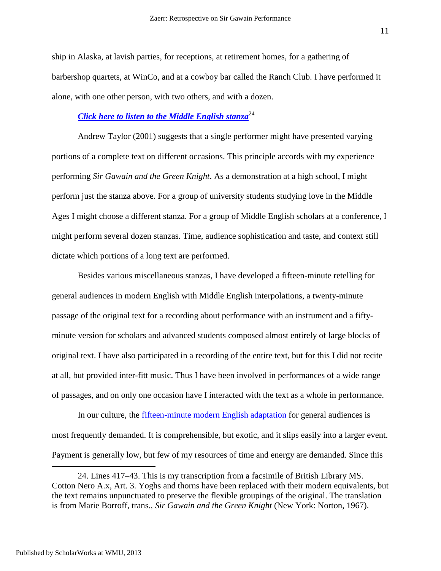ship in Alaska, at lavish parties, for receptions, at retirement homes, for a gathering of barbershop quartets, at WinCo, and at a cowboy bar called the Ranch Club. I have performed it alone, with one other person, with two others, and with a dozen.

# *Click [here to listen to the Middle English stanza](http://youtu.be/0ObooLYEqSU)*<sup>24</sup>

Andrew Taylor (2001) suggests that a single performer might have presented varying portions of a complete text on different occasions. This principle accords with my experience performing *Sir Gawain and the Green Knight*. As a demonstration at a high school, I might perform just the stanza above. For a group of university students studying love in the Middle Ages I might choose a different stanza. For a group of Middle English scholars at a conference, I might perform several dozen stanzas. Time, audience sophistication and taste, and context still dictate which portions of a long text are performed.

Besides various miscellaneous stanzas, I have developed a fifteen-minute retelling for general audiences in modern English with Middle English interpolations, a twenty-minute passage of the original text for a recording about performance with an instrument and a fiftyminute version for scholars and advanced students composed almost entirely of large blocks of original text. I have also participated in a recording of the entire text, but for this I did not recite at all, but provided inter-fitt music. Thus I have been involved in performances of a wide range of passages, and on only one occasion have I interacted with the text as a whole in performance.

In our culture, the <u>fifteen-minute modern English adaptation</u> for general audiences is most frequently demanded. It is comprehensible, but exotic, and it slips easily into a larger event. Payment is generally low, but few of my resources of time and energy are demanded. Since this

<sup>24.</sup> Lines 417–43. This is my transcription from a facsimile of British Library MS. Cotton Nero A.x, Art. 3. Yoghs and thorns have been replaced with their modern equivalents, but the text remains unpunctuated to preserve the flexible groupings of the original. The translation is from Marie Borroff, trans., *Sir Gawain and the Green Knight* (New York: Norton, 1967).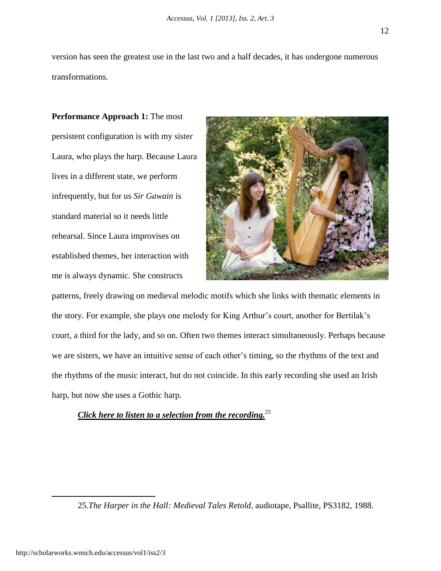version has seen the greatest use in the last two and a half decades, it has undergone numerous transformations.

**Performance Approach 1:** The most persistent configuration is with my sister Laura, who plays the harp. Because Laura lives in a different state, we perform infrequently, but for us *Sir Gawain* is standard material so it needs little rehearsal. Since Laura improvises on established themes, her interaction with me is always dynamic. She constructs



patterns, freely drawing on medieval melodic motifs which she links with thematic elements in the story. For example, she plays one melody for King Arthur's court, another for Bertilak's court, a third for the lady, and so on. Often two themes interact simultaneously. Perhaps because we are sisters, we have an intuitive sense of each other's timing, so the rhythms of the text and the rhythms of the music interact, but do not coincide. In this early recording she used an Irish harp, but now she uses a Gothic harp.

# *Click [here to listen to a selection from the recording.](http://youtu.be/Gj5t7uyOyNg)*<sup>25</sup>

<sup>25.</sup>*The Harper in the Hall: Medieval Tales Retold*, audiotape, Psallite, PS3182, 1988.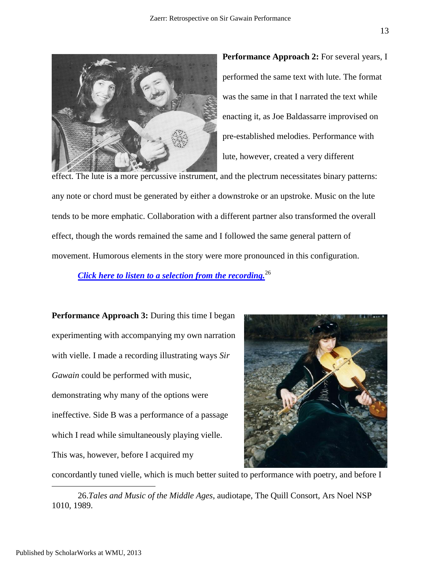

**Performance Approach 2:** For several years, I performed the same text with lute. The format was the same in that I narrated the text while enacting it, as Joe Baldassarre improvised on pre-established melodies. Performance with lute, however, created a very different

effect. The lute is a more percussive instrument, and the plectrum necessitates binary patterns: any note or chord must be generated by either a downstroke or an upstroke. Music on the lute tends to be more emphatic. Collaboration with a different partner also transformed the overall effect, though the words remained the same and I followed the same general pattern of movement. Humorous elements in the story were more pronounced in this configuration.

*Click [here to listen to a selection from the recording.](http://youtu.be/Lvmga_Po1hw)*<sup>26</sup>

**Performance Approach 3:** During this time I began experimenting with accompanying my own narration with vielle. I made a recording illustrating ways *Sir Gawain* could be performed with music, demonstrating why many of the options were ineffective. Side B was a performance of a passage which I read while simultaneously playing vielle. This was, however, before I acquired my



concordantly tuned vielle, which is much better suited to performance with poetry, and before I

26.*Tales and Music of the Middle Ages*, audiotape, The Quill Consort, Ars Noel NSP 1010, 1989.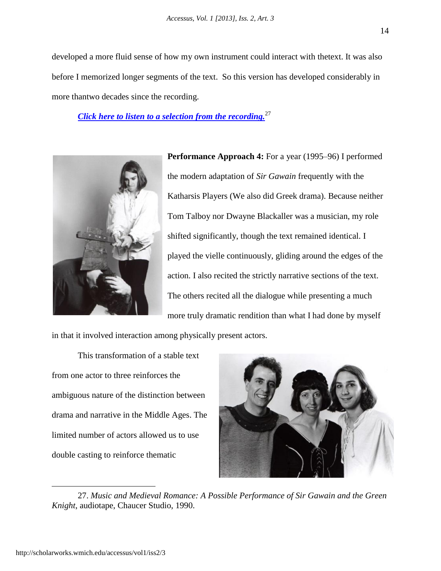developed a more fluid sense of how my own instrument could interact with thetext. It was also before I memorized longer segments of the text. So this version has developed considerably in more thantwo decades since the recording.

*Click [here to listen to a selection from the recording.](http://youtu.be/HCYUIM05d_M)*<sup>27</sup>



**Performance Approach 4:** For a year (1995–96) I performed the modern adaptation of *Sir Gawain* frequently with the Katharsis Players (We also did Greek drama). Because neither Tom Talboy nor Dwayne Blackaller was a musician, my role shifted significantly, though the text remained identical. I played the vielle continuously, gliding around the edges of the action. I also recited the strictly narrative sections of the text. The others recited all the dialogue while presenting a much more truly dramatic rendition than what I had done by myself

in that it involved interaction among physically present actors.

This transformation of a stable text from one actor to three reinforces the ambiguous nature of the distinction between drama and narrative in the Middle Ages. The limited number of actors allowed us to use double casting to reinforce thematic



27. *Music and Medieval Romance: A Possible Performance of Sir Gawain and the Green Knight*, audiotape, Chaucer Studio, 1990.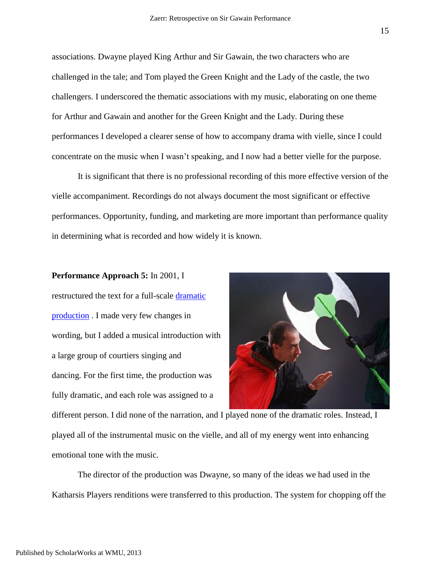associations. Dwayne played King Arthur and Sir Gawain, the two characters who are challenged in the tale; and Tom played the Green Knight and the Lady of the castle, the two challengers. I underscored the thematic associations with my music, elaborating on one theme for Arthur and Gawain and another for the Green Knight and the Lady. During these performances I developed a clearer sense of how to accompany drama with vielle, since I could concentrate on the music when I wasn't speaking, and I now had a better vielle for the purpose.

It is significant that there is no professional recording of this more effective version of the vielle accompaniment. Recordings do not always document the most significant or effective performances. Opportunity, funding, and marketing are more important than performance quality in determining what is recorded and how widely it is known.

#### **Performance Approach 5:** In 2001, I

restructured the text for a full-scale [dramatic](http://english.boisestate.edu/lindamariezaerr/files/2013/05/SGGK-Stage-Adaptation.pdf)  [production](http://english.boisestate.edu/lindamariezaerr/files/2013/05/SGGK-Stage-Adaptation.pdf) . I made very few changes in wording, but I added a musical introduction with a large group of courtiers singing and dancing. For the first time, the production was fully dramatic, and each role was assigned to a



different person. I did none of the narration, and I played none of the dramatic roles. Instead, I played all of the instrumental music on the vielle, and all of my energy went into enhancing emotional tone with the music.

The director of the production was Dwayne, so many of the ideas we had used in the Katharsis Players renditions were transferred to this production. The system for chopping off the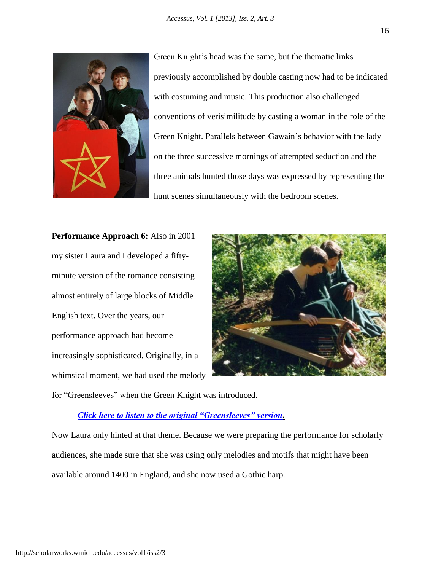

Green Knight's head was the same, but the thematic links previously accomplished by double casting now had to be indicated with costuming and music. This production also challenged conventions of verisimilitude by casting a woman in the role of the Green Knight. Parallels between Gawain's behavior with the lady on the three successive mornings of attempted seduction and the three animals hunted those days was expressed by representing the hunt scenes simultaneously with the bedroom scenes.

**Performance Approach 6:** Also in 2001 my sister Laura and I developed a fiftyminute version of the romance consisting almost entirely of large blocks of Middle English text. Over the years, our performance approach had become increasingly sophisticated. Originally, in a whimsical moment, we had used the melody



for "Greensleeves" when the Green Knight was introduced.

### *Click [here to listen to the original "Greensleeves" version.](http://youtu.be/91bAEth-2Ho)*

Now Laura only hinted at that theme. Because we were preparing the performance for scholarly audiences, she made sure that she was using only melodies and motifs that might have been available around 1400 in England, and she now used a Gothic harp.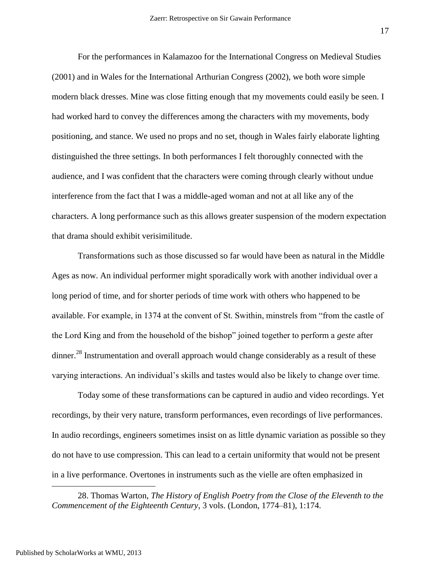For the performances in Kalamazoo for the International Congress on Medieval Studies (2001) and in Wales for the International Arthurian Congress (2002), we both wore simple modern black dresses. Mine was close fitting enough that my movements could easily be seen. I had worked hard to convey the differences among the characters with my movements, body positioning, and stance. We used no props and no set, though in Wales fairly elaborate lighting distinguished the three settings. In both performances I felt thoroughly connected with the audience, and I was confident that the characters were coming through clearly without undue interference from the fact that I was a middle-aged woman and not at all like any of the characters. A long performance such as this allows greater suspension of the modern expectation that drama should exhibit verisimilitude.

Transformations such as those discussed so far would have been as natural in the Middle Ages as now. An individual performer might sporadically work with another individual over a long period of time, and for shorter periods of time work with others who happened to be available. For example, in 1374 at the convent of St. Swithin, minstrels from "from the castle of the Lord King and from the household of the bishop" joined together to perform a *geste* after dinner.<sup>28</sup> Instrumentation and overall approach would change considerably as a result of these varying interactions. An individual's skills and tastes would also be likely to change over time.

Today some of these transformations can be captured in audio and video recordings. Yet recordings, by their very nature, transform performances, even recordings of live performances. In audio recordings, engineers sometimes insist on as little dynamic variation as possible so they do not have to use compression. This can lead to a certain uniformity that would not be present in a live performance. Overtones in instruments such as the vielle are often emphasized in

28. Thomas Warton, *The History of English Poetry from the Close of the Eleventh to the Commencement of the Eighteenth Century*, 3 vols. (London, 1774–81), 1:174.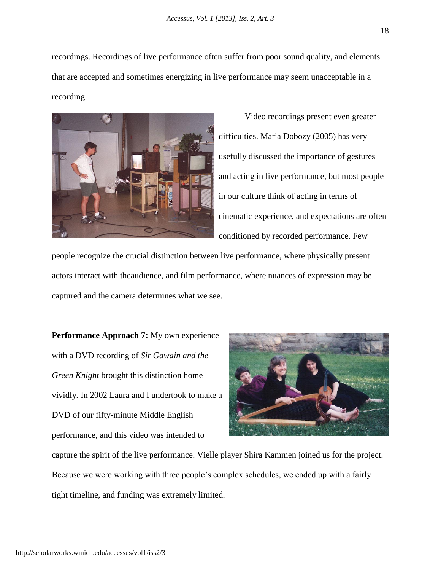recordings. Recordings of live performance often suffer from poor sound quality, and elements that are accepted and sometimes energizing in live performance may seem unacceptable in a recording.



Video recordings present even greater difficulties. Maria Dobozy (2005) has very usefully discussed the importance of gestures and acting in live performance, but most people in our culture think of acting in terms of cinematic experience, and expectations are often conditioned by recorded performance. Few

people recognize the crucial distinction between live performance, where physically present actors interact with theaudience, and film performance, where nuances of expression may be captured and the camera determines what we see.

**Performance Approach 7:** My own experience with a DVD recording of *Sir Gawain and the Green Knight* brought this distinction home vividly. In 2002 Laura and I undertook to make a DVD of our fifty-minute Middle English performance, and this video was intended to



capture the spirit of the live performance. Vielle player Shira Kammen joined us for the project. Because we were working with three people's complex schedules, we ended up with a fairly tight timeline, and funding was extremely limited.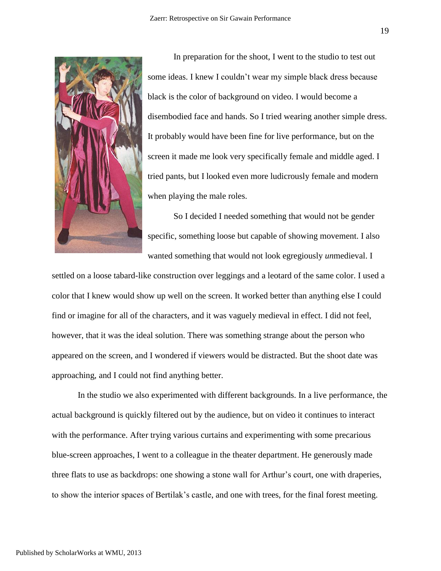

In preparation for the shoot, I went to the studio to test out some ideas. I knew I couldn't wear my simple black dress because black is the color of background on video. I would become a disembodied face and hands. So I tried wearing another simple dress. It probably would have been fine for live performance, but on the screen it made me look very specifically female and middle aged. I tried pants, but I looked even more ludicrously female and modern when playing the male roles.

So I decided I needed something that would not be gender specific, something loose but capable of showing movement. I also wanted something that would not look egregiously *un*medieval. I

settled on a loose tabard-like construction over leggings and a leotard of the same color. I used a color that I knew would show up well on the screen. It worked better than anything else I could find or imagine for all of the characters, and it was vaguely medieval in effect. I did not feel, however, that it was the ideal solution. There was something strange about the person who appeared on the screen, and I wondered if viewers would be distracted. But the shoot date was approaching, and I could not find anything better.

In the studio we also experimented with different backgrounds. In a live performance, the actual background is quickly filtered out by the audience, but on video it continues to interact with the performance. After trying various curtains and experimenting with some precarious blue-screen approaches, I went to a colleague in the theater department. He generously made three flats to use as backdrops: one showing a stone wall for Arthur's court, one with draperies, to show the interior spaces of Bertilak's castle, and one with trees, for the final forest meeting.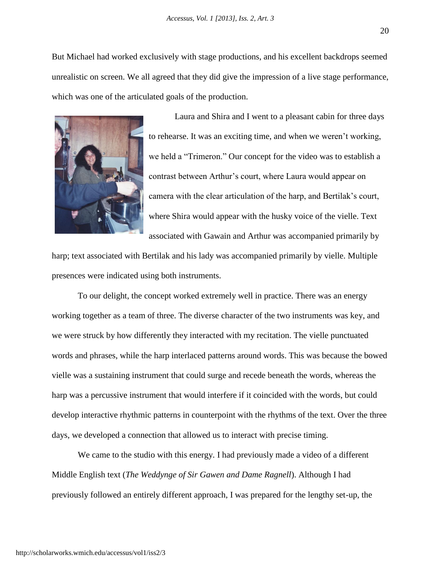But Michael had worked exclusively with stage productions, and his excellent backdrops seemed unrealistic on screen. We all agreed that they did give the impression of a live stage performance, which was one of the articulated goals of the production.



Laura and Shira and I went to a pleasant cabin for three days to rehearse. It was an exciting time, and when we weren't working, we held a "Trimeron." Our concept for the video was to establish a contrast between Arthur's court, where Laura would appear on camera with the clear articulation of the harp, and Bertilak's court, where Shira would appear with the husky voice of the vielle. Text associated with Gawain and Arthur was accompanied primarily by

harp; text associated with Bertilak and his lady was accompanied primarily by vielle. Multiple presences were indicated using both instruments.

To our delight, the concept worked extremely well in practice. There was an energy working together as a team of three. The diverse character of the two instruments was key, and we were struck by how differently they interacted with my recitation. The vielle punctuated words and phrases, while the harp interlaced patterns around words. This was because the bowed vielle was a sustaining instrument that could surge and recede beneath the words, whereas the harp was a percussive instrument that would interfere if it coincided with the words, but could develop interactive rhythmic patterns in counterpoint with the rhythms of the text. Over the three days, we developed a connection that allowed us to interact with precise timing.

We came to the studio with this energy. I had previously made a video of a different Middle English text (*The Weddynge of Sir Gawen and Dame Ragnell*). Although I had previously followed an entirely different approach, I was prepared for the lengthy set-up, the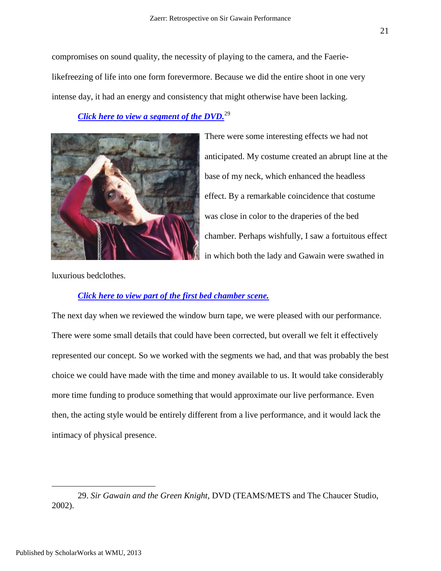compromises on sound quality, the necessity of playing to the camera, and the Faerielikefreezing of life into one form forevermore. Because we did the entire shoot in one very intense day, it had an energy and consistency that might otherwise have been lacking.

# *Click [here to view a segment of the DVD.](http://youtu.be/dFQgjvNuP6g)*<sup>29</sup>



There were some interesting effects we had not anticipated. My costume created an abrupt line at the base of my neck, which enhanced the headless effect. By a remarkable coincidence that costume was close in color to the draperies of the bed chamber. Perhaps wishfully, I saw a fortuitous effect in which both the lady and Gawain were swathed in

luxurious bedclothes.

# *Click [here to view part of the first](http://youtu.be/v-nPV391tGI) bed chamber scene.*

The next day when we reviewed the window burn tape, we were pleased with our performance. There were some small details that could have been corrected, but overall we felt it effectively represented our concept. So we worked with the segments we had, and that was probably the best choice we could have made with the time and money available to us. It would take considerably more time funding to produce something that would approximate our live performance. Even then, the acting style would be entirely different from a live performance, and it would lack the intimacy of physical presence.

<sup>29.</sup> *Sir Gawain and the Green Knight,* DVD (TEAMS/METS and The Chaucer Studio, 2002).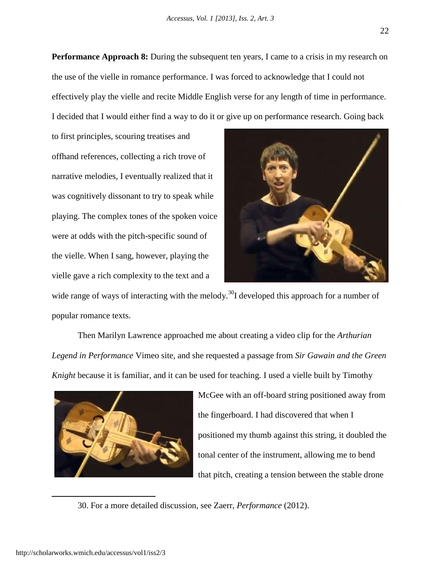**Performance Approach 8:** During the subsequent ten years, I came to a crisis in my research on the use of the vielle in romance performance. I was forced to acknowledge that I could not effectively play the vielle and recite Middle English verse for any length of time in performance. I decided that I would either find a way to do it or give up on performance research. Going back

to first principles, scouring treatises and offhand references, collecting a rich trove of narrative melodies, I eventually realized that it was cognitively dissonant to try to speak while playing. The complex tones of the spoken voice were at odds with the pitch-specific sound of the vielle. When I sang, however, playing the vielle gave a rich complexity to the text and a



wide range of ways of interacting with the melody.<sup>30</sup>I developed this approach for a number of popular romance texts.

Then Marilyn Lawrence approached me about creating a video clip for the *Arthurian Legend in Performance* Vimeo site, and she requested a passage from *Sir Gawain and the Green Knight* because it is familiar, and it can be used for teaching. I used a vielle built by Timothy



McGee with an off-board string positioned away from the fingerboard. I had discovered that when I positioned my thumb against this string, it doubled the tonal center of the instrument, allowing me to bend that pitch, creating a tension between the stable drone

30. For a more detailed discussion, see Zaerr, *Performance* (2012).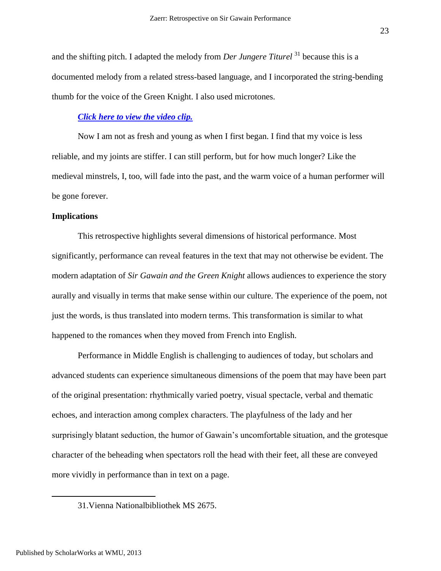and the shifting pitch. I adapted the melody from *Der Jungere Titurel* <sup>31</sup> because this is a documented melody from a related stress-based language, and I incorporated the string-bending thumb for the voice of the Green Knight. I also used microtones.

### *Click [here to view the video clip.](http://vimeo.com/48847395)*

Now I am not as fresh and young as when I first began. I find that my voice is less reliable, and my joints are stiffer. I can still perform, but for how much longer? Like the medieval minstrels, I, too, will fade into the past, and the warm voice of a human performer will be gone forever.

### **Implications**

This retrospective highlights several dimensions of historical performance. Most significantly, performance can reveal features in the text that may not otherwise be evident. The modern adaptation of *Sir Gawain and the Green Knight* allows audiences to experience the story aurally and visually in terms that make sense within our culture. The experience of the poem, not just the words, is thus translated into modern terms. This transformation is similar to what happened to the romances when they moved from French into English.

Performance in Middle English is challenging to audiences of today, but scholars and advanced students can experience simultaneous dimensions of the poem that may have been part of the original presentation: rhythmically varied poetry, visual spectacle, verbal and thematic echoes, and interaction among complex characters. The playfulness of the lady and her surprisingly blatant seduction, the humor of Gawain's uncomfortable situation, and the grotesque character of the beheading when spectators roll the head with their feet, all these are conveyed more vividly in performance than in text on a page.

<sup>31.</sup>Vienna Nationalbibliothek MS 2675.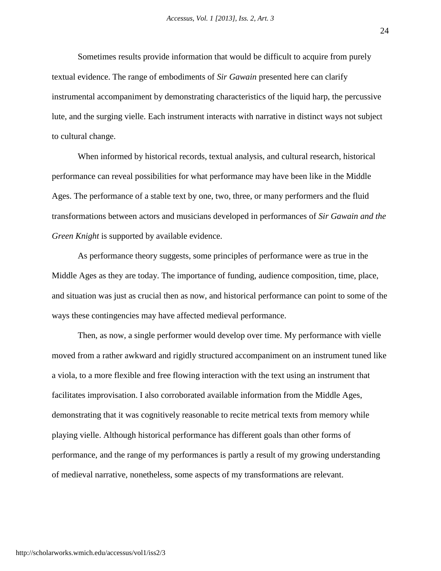Sometimes results provide information that would be difficult to acquire from purely textual evidence. The range of embodiments of *Sir Gawain* presented here can clarify instrumental accompaniment by demonstrating characteristics of the liquid harp, the percussive lute, and the surging vielle. Each instrument interacts with narrative in distinct ways not subject to cultural change.

When informed by historical records, textual analysis, and cultural research, historical performance can reveal possibilities for what performance may have been like in the Middle Ages. The performance of a stable text by one, two, three, or many performers and the fluid transformations between actors and musicians developed in performances of *Sir Gawain and the Green Knight* is supported by available evidence.

As performance theory suggests, some principles of performance were as true in the Middle Ages as they are today. The importance of funding, audience composition, time, place, and situation was just as crucial then as now, and historical performance can point to some of the ways these contingencies may have affected medieval performance.

Then, as now, a single performer would develop over time. My performance with vielle moved from a rather awkward and rigidly structured accompaniment on an instrument tuned like a viola, to a more flexible and free flowing interaction with the text using an instrument that facilitates improvisation. I also corroborated available information from the Middle Ages, demonstrating that it was cognitively reasonable to recite metrical texts from memory while playing vielle. Although historical performance has different goals than other forms of performance, and the range of my performances is partly a result of my growing understanding of medieval narrative, nonetheless, some aspects of my transformations are relevant.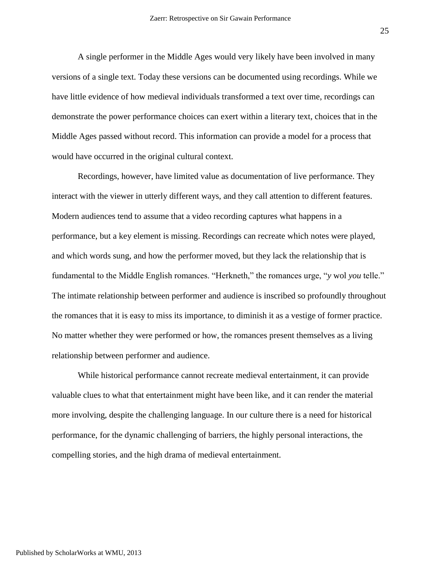A single performer in the Middle Ages would very likely have been involved in many versions of a single text. Today these versions can be documented using recordings. While we have little evidence of how medieval individuals transformed a text over time, recordings can demonstrate the power performance choices can exert within a literary text, choices that in the Middle Ages passed without record. This information can provide a model for a process that would have occurred in the original cultural context.

Recordings, however, have limited value as documentation of live performance. They interact with the viewer in utterly different ways, and they call attention to different features. Modern audiences tend to assume that a video recording captures what happens in a performance, but a key element is missing. Recordings can recreate which notes were played, and which words sung, and how the performer moved, but they lack the relationship that is fundamental to the Middle English romances. "Herkneth," the romances urge, "*y* wol *you* telle." The intimate relationship between performer and audience is inscribed so profoundly throughout the romances that it is easy to miss its importance, to diminish it as a vestige of former practice. No matter whether they were performed or how, the romances present themselves as a living relationship between performer and audience.

While historical performance cannot recreate medieval entertainment, it can provide valuable clues to what that entertainment might have been like, and it can render the material more involving, despite the challenging language. In our culture there is a need for historical performance, for the dynamic challenging of barriers, the highly personal interactions, the compelling stories, and the high drama of medieval entertainment.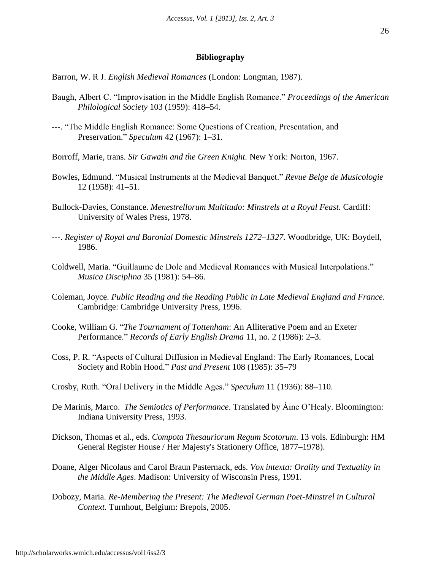### **Bibliography**

Barron, W. R J. *English Medieval Romances* (London: Longman, 1987).

- Baugh, Albert C. "Improvisation in the Middle English Romance." *Proceedings of the American Philological Society* 103 (1959): 418–54.
- ---. "The Middle English Romance: Some Questions of Creation, Presentation, and Preservation." *Speculum* 42 (1967): 1–31.
- Borroff, Marie, trans. *Sir Gawain and the Green Knight.* New York: Norton, 1967.
- Bowles, Edmund. "Musical Instruments at the Medieval Banquet." *Revue Belge de Musicologie* 12 (1958): 41–51.
- Bullock-Davies, Constance. *Menestrellorum Multitudo: Minstrels at a Royal Feast.* Cardiff: University of Wales Press, 1978.
- ---. *Register of Royal and Baronial Domestic Minstrels 1272–1327.* Woodbridge, UK: Boydell, 1986.
- Coldwell, Maria. "Guillaume de Dole and Medieval Romances with Musical Interpolations." *Musica Disciplina* 35 (1981): 54–86.
- Coleman, Joyce. *Public Reading and the Reading Public in Late Medieval England and France.* Cambridge: Cambridge University Press, 1996.
- Cooke, William G. "*The Tournament of Tottenham*: An Alliterative Poem and an Exeter Performance." *Records of Early English Drama* 11, no. 2 (1986): 2–3.
- Coss, P. R. "Aspects of Cultural Diffusion in Medieval England: The Early Romances, Local Society and Robin Hood." *Past and Present* 108 (1985): 35–79
- Crosby, Ruth. "Oral Delivery in the Middle Ages." *Speculum* 11 (1936): 88–110.
- De Marinis, Marco. *The Semiotics of Performance*. Translated by Áine O'Healy. Bloomington: Indiana University Press, 1993.
- Dickson, Thomas et al., eds. *Compota Thesauriorum Regum Scotorum*. 13 vols. Edinburgh: HM General Register House / Her Majesty's Stationery Office, 1877–1978).
- Doane, Alger Nicolaus and Carol Braun Pasternack, eds. *Vox intexta: Orality and Textuality in the Middle Ages*. Madison: University of Wisconsin Press, 1991.
- Dobozy, Maria. *Re-Membering the Present: The Medieval German Poet-Minstrel in Cultural Context.* Turnhout, Belgium: Brepols, 2005.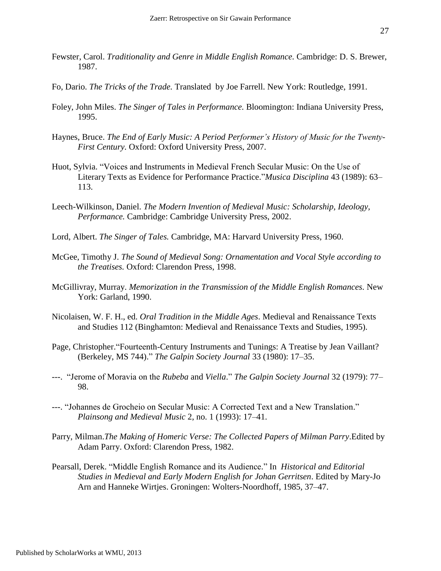- Fewster, Carol. *Traditionality and Genre in Middle English Romance.* Cambridge: D. S. Brewer, 1987.
- Fo, Dario. *The Tricks of the Trade.* Translated by Joe Farrell. New York: Routledge, 1991.
- Foley, John Miles. *The Singer of Tales in Performance.* Bloomington: Indiana University Press, 1995.
- Haynes, Bruce. *The End of Early Music: A Period Performer's History of Music for the Twenty-First Century.* Oxford: Oxford University Press, 2007.
- Huot, Sylvia. "Voices and Instruments in Medieval French Secular Music: On the Use of Literary Texts as Evidence for Performance Practice."*Musica Disciplina* 43 (1989): 63– 113.
- Leech-Wilkinson, Daniel. *The Modern Invention of Medieval Music: Scholarship, Ideology, Performance.* Cambridge: Cambridge University Press, 2002.
- Lord, Albert. *The Singer of Tales.* Cambridge, MA: Harvard University Press, 1960.
- McGee, Timothy J. *The Sound of Medieval Song: Ornamentation and Vocal Style according to the Treatises.* Oxford: Clarendon Press, 1998.
- McGillivray, Murray. *Memorization in the Transmission of the Middle English Romances.* New York: Garland, 1990.
- Nicolaisen, W. F. H., ed. *Oral Tradition in the Middle Ages*. Medieval and Renaissance Texts and Studies 112 (Binghamton: Medieval and Renaissance Texts and Studies, 1995).
- Page, Christopher."Fourteenth-Century Instruments and Tunings: A Treatise by Jean Vaillant? (Berkeley, MS 744)." *The Galpin Society Journal* 33 (1980): 17–35.
- ---. "Jerome of Moravia on the *Rubeba* and *Viella*." *The Galpin Society Journal* 32 (1979): 77– 98.
- ---. "Johannes de Grocheio on Secular Music: A Corrected Text and a New Translation." *Plainsong and Medieval Music* 2, no. 1 (1993): 17–41.
- Parry, Milman.*The Making of Homeric Verse: The Collected Papers of Milman Parry*.Edited by Adam Parry. Oxford: Clarendon Press, 1982.
- Pearsall, Derek. "Middle English Romance and its Audience." In *Historical and Editorial Studies in Medieval and Early Modern English for Johan Gerritsen*. Edited by Mary-Jo Arn and Hanneke Wirtjes. Groningen: Wolters-Noordhoff, 1985, 37–47.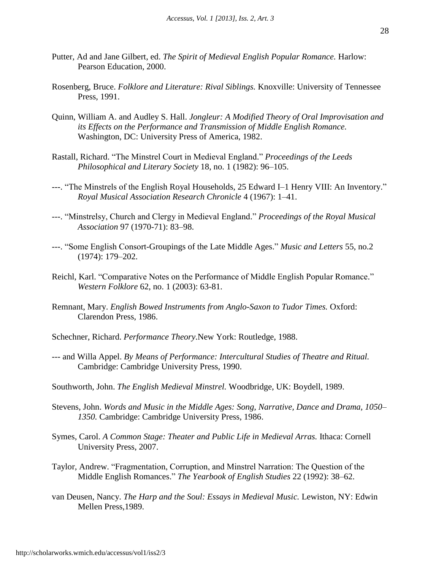- Putter, Ad and Jane Gilbert, ed. *The Spirit of Medieval English Popular Romance.* Harlow: Pearson Education, 2000.
- Rosenberg, Bruce. *Folklore and Literature: Rival Siblings.* Knoxville: University of Tennessee Press, 1991.
- Quinn, William A. and Audley S. Hall. *Jongleur: A Modified Theory of Oral Improvisation and its Effects on the Performance and Transmission of Middle English Romance.* Washington, DC: University Press of America, 1982.
- Rastall, Richard. "The Minstrel Court in Medieval England." *Proceedings of the Leeds Philosophical and Literary Society* 18, no. 1 (1982): 96–105.
- ---. "The Minstrels of the English Royal Households, 25 Edward I–1 Henry VIII: An Inventory." *Royal Musical Association Research Chronicle* 4 (1967): 1–41.
- ---. "Minstrelsy, Church and Clergy in Medieval England." *Proceedings of the Royal Musical Association* 97 (1970-71): 83–98.
- ---. "Some English Consort-Groupings of the Late Middle Ages." *Music and Letters* 55, no.2 (1974): 179–202.
- Reichl, Karl. "Comparative Notes on the Performance of Middle English Popular Romance." *Western Folklore* 62, no. 1 (2003): 63-81.
- Remnant, Mary. *English Bowed Instruments from Anglo-Saxon to Tudor Times.* Oxford: Clarendon Press, 1986.
- Schechner, Richard. *Performance Theory*.New York: Routledge, 1988.
- --- and Willa Appel. *By Means of Performance: Intercultural Studies of Theatre and Ritual.* Cambridge: Cambridge University Press, 1990.
- Southworth, John. *The English Medieval Minstrel.* Woodbridge, UK: Boydell, 1989.
- Stevens, John. *Words and Music in the Middle Ages: Song, Narrative, Dance and Drama, 1050– 1350.* Cambridge: Cambridge University Press, 1986.
- Symes, Carol. *A Common Stage: Theater and Public Life in Medieval Arras.* Ithaca: Cornell University Press, 2007.
- Taylor, Andrew. "Fragmentation, Corruption, and Minstrel Narration: The Question of the Middle English Romances." *The Yearbook of English Studies* 22 (1992): 38–62.
- van Deusen, Nancy. *The Harp and the Soul: Essays in Medieval Music.* Lewiston, NY: Edwin Mellen Press,1989.